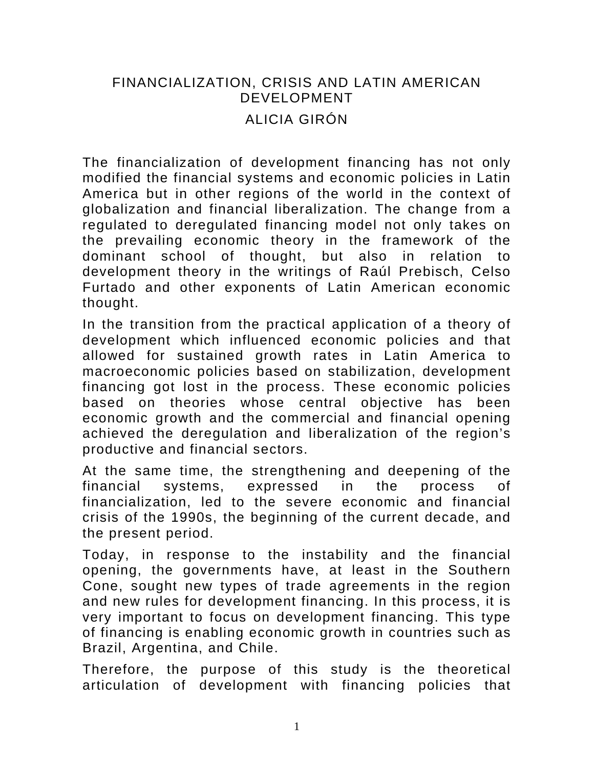# FINANCIALIZATION, CRISIS AND LATIN AMERICAN DEVELOPMENT ALICIA GIRÓN

The financialization of development financing has not only modified the financial systems and economic policies in Latin America but in other regions of the world in the context of globalization and financial liberalization. The change from a regulated to deregulated financing model not only takes on the prevailing economic theory in the framework of the dominant school of thought, but also in relation to development theory in the writings of Raúl Prebisch, Celso Furtado and other exponents of Latin American economic thought.

In the transition from the practical application of a theory of development which influenced economic policies and that allowed for sustained growth rates in Latin America to macroeconomic policies based on stabilization, development financing got lost in the process. These economic policies based on theories whose central objective has been economic growth and the commercial and financial opening achieved the deregulation and liberalization of the region's productive and financial sectors.

At the same time, the strengthening and deepening of the financial systems, expressed in the process of financialization, led to the severe economic and financial crisis of the 1990s, the beginning of the current decade, and the present period.

Today, in response to the instability and the financial opening, the governments have, at least in the Southern Cone, sought new types of trade agreements in the region and new rules for development financing. In this process, it is very important to focus on development financing. This type of financing is enabling economic growth in countries such as Brazil, Argentina, and Chile.

Therefore, the purpose of this study is the theoretical articulation of development with financing policies that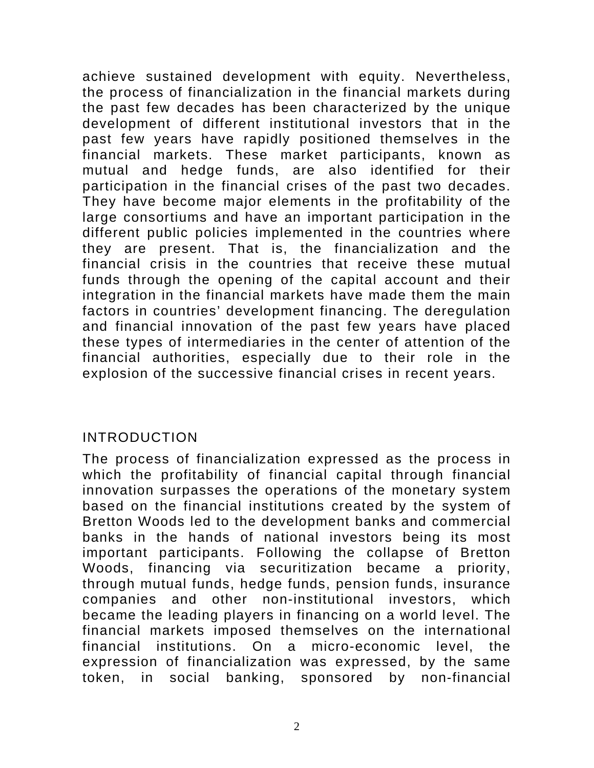achieve sustained development with equity. Nevertheless, the process of financialization in the financial markets during the past few decades has been characterized by the unique development of different institutional investors that in the past few years have rapidly positioned themselves in the financial markets. These market participants, known as mutual and hedge funds, are also identified for their participation in the financial crises of the past two decades. They have become major elements in the profitability of the large consortiums and have an important participation in the different public policies implemented in the countries where they are present. That is, the financialization and the financial crisis in the countries that receive these mutual funds through the opening of the capital account and their integration in the financial markets have made them the main factors in countries' development financing. The deregulation and financial innovation of the past few years have placed these types of intermediaries in the center of attention of the financial authorities, especially due to their role in the explosion of the successive financial crises in recent years.

#### INTRODUCTION

The process of financialization expressed as the process in which the profitability of financial capital through financial innovation surpasses the operations of the monetary system based on the financial institutions created by the system of Bretton Woods led to the development banks and commercial banks in the hands of national investors being its most important participants. Following the collapse of Bretton Woods, financing via securitization became a priority, through mutual funds, hedge funds, pension funds, insurance companies and other non-institutional investors, which became the leading players in financing on a world level. The financial markets imposed themselves on the international financial institutions. On a micro-economic level, the expression of financialization was expressed, by the same token, in social banking, sponsored by non-financial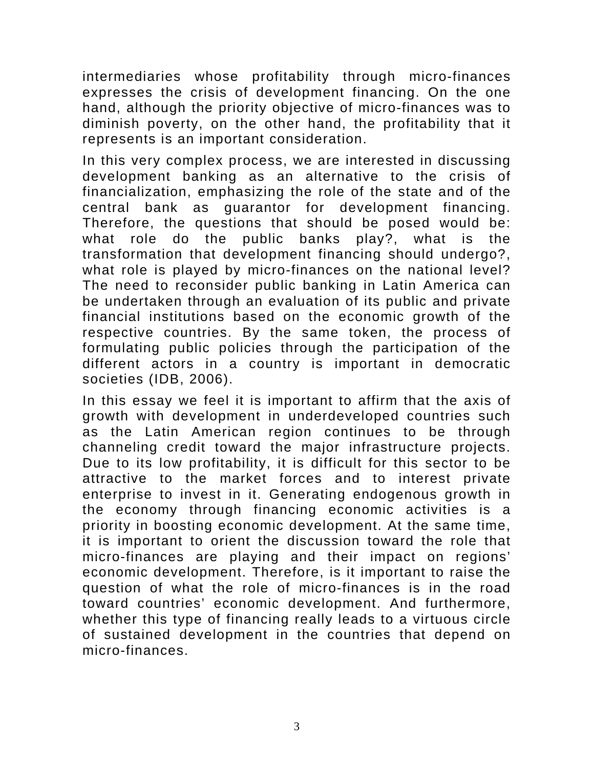intermediaries whose profitability through micro-finances expresses the crisis of development financing. On the one hand, although the priority objective of micro-finances was to diminish poverty, on the other hand, the profitability that it represents is an important consideration.

In this very complex process, we are interested in discussing development banking as an alternative to the crisis of financialization, emphasizing the role of the state and of the central bank as guarantor for development financing. Therefore, the questions that should be posed would be: what role do the public banks play?, what is the transformation that development financing should undergo?, what role is played by micro-finances on the national level? The need to reconsider public banking in Latin America can be undertaken through an evaluation of its public and private financial institutions based on the economic growth of the respective countries. By the same token, the process of formulating public policies through the participation of the different actors in a country is important in democratic societies (IDB, 2006).

In this essay we feel it is important to affirm that the axis of growth with development in underdeveloped countries such as the Latin American region continues to be through channeling credit toward the major infrastructure projects. Due to its low profitability, it is difficult for this sector to be attractive to the market forces and to interest private enterprise to invest in it. Generating endogenous growth in the economy through financing economic activities is a priority in boosting economic development. At the same time, it is important to orient the discussion toward the role that micro-finances are playing and their impact on regions' economic development. Therefore, is it important to raise the question of what the role of micro-finances is in the road toward countries' economic development. And furthermore, whether this type of financing really leads to a virtuous circle of sustained development in the countries that depend on micro-finances.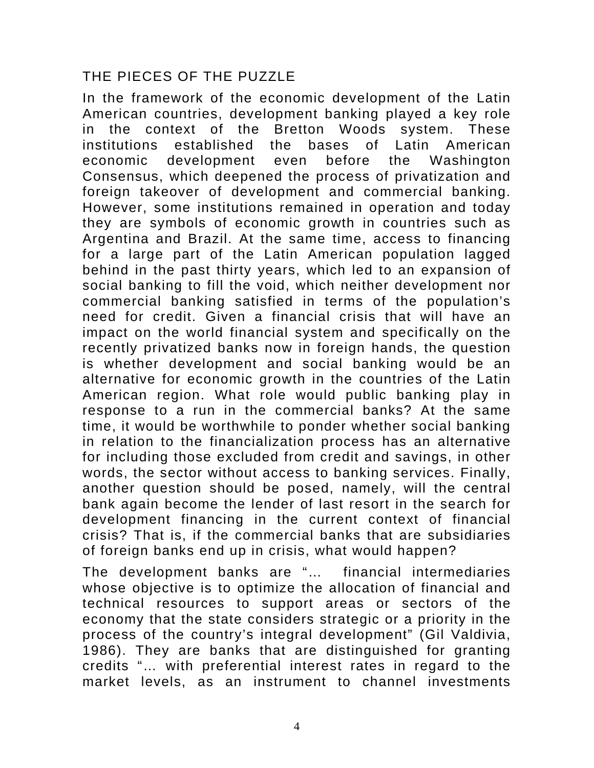## THE PIECES OF THE PUZZLE

In the framework of the economic development of the Latin American countries, development banking played a key role in the context of the Bretton Woods system. These institutions established the bases of Latin American economic development even before the Washington Consensus, which deepened the process of privatization and foreign takeover of development and commercial banking. However, some institutions remained in operation and today they are symbols of economic growth in countries such as Argentina and Brazil. At the same time, access to financing for a large part of the Latin American population lagged behind in the past thirty years, which led to an expansion of social banking to fill the void, which neither development nor commercial banking satisfied in terms of the population's need for credit. Given a financial crisis that will have an impact on the world financial system and specifically on the recently privatized banks now in foreign hands, the question is whether development and social banking would be an alternative for economic growth in the countries of the Latin American region. What role would public banking play in response to a run in the commercial banks? At the same time, it would be worthwhile to ponder whether social banking in relation to the financialization process has an alternative for including those excluded from credit and savings, in other words, the sector without access to banking services. Finally, another question should be posed, namely, will the central bank again become the lender of last resort in the search for development financing in the current context of financial crisis? That is, if the commercial banks that are subsidiaries of foreign banks end up in crisis, what would happen?

The development banks are "… financial intermediaries whose objective is to optimize the allocation of financial and technical resources to support areas or sectors of the economy that the state considers strategic or a priority in the process of the country's integral development" (Gil Valdivia, 1986). They are banks that are distinguished for granting credits "… with preferential interest rates in regard to the market levels, as an instrument to channel investments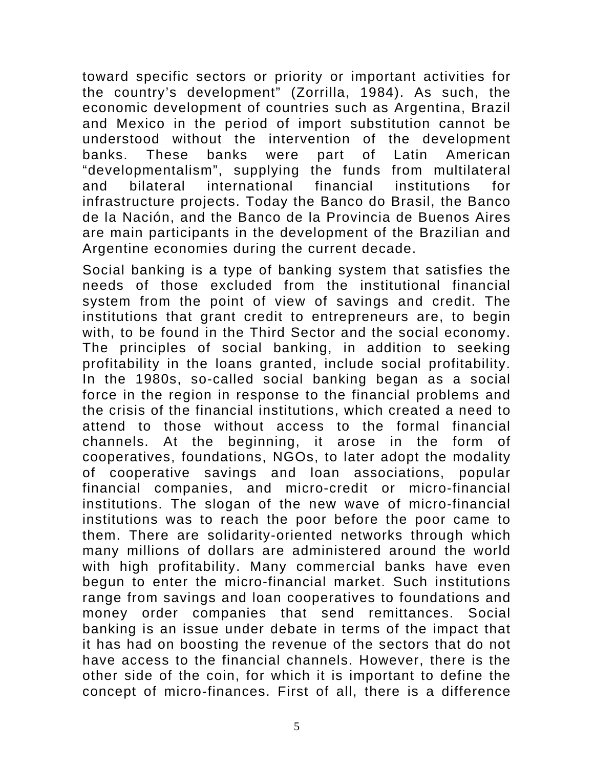toward specific sectors or priority or important activities for the country's development" (Zorrilla, 1984). As such, the economic development of countries such as Argentina, Brazil and Mexico in the period of import substitution cannot be understood without the intervention of the development banks. These banks were part of Latin American "developmentalism", supplying the funds from multilateral and bilateral international financial institutions for infrastructure projects. Today the Banco do Brasil, the Banco de la Nación, and the Banco de la Provincia de Buenos Aires are main participants in the development of the Brazilian and Argentine economies during the current decade.

Social banking is a type of banking system that satisfies the needs of those excluded from the institutional financial system from the point of view of savings and credit. The institutions that grant credit to entrepreneurs are, to begin with, to be found in the Third Sector and the social economy. The principles of social banking, in addition to seeking profitability in the loans granted, include social profitability. In the 1980s, so-called social banking began as a social force in the region in response to the financial problems and the crisis of the financial institutions, which created a need to attend to those without access to the formal financial channels. At the beginning, it arose in the form of cooperatives, foundations, NGOs, to later adopt the modality of cooperative savings and loan associations, popular financial companies, and micro-credit or micro-financial institutions. The slogan of the new wave of micro-financial institutions was to reach the poor before the poor came to them. There are solidarity-oriented networks through which many millions of dollars are administered around the world with high profitability. Many commercial banks have even begun to enter the micro-financial market. Such institutions range from savings and loan cooperatives to foundations and money order companies that send remittances. Social banking is an issue under debate in terms of the impact that it has had on boosting the revenue of the sectors that do not have access to the financial channels. However, there is the other side of the coin, for which it is important to define the concept of micro-finances. First of all, there is a difference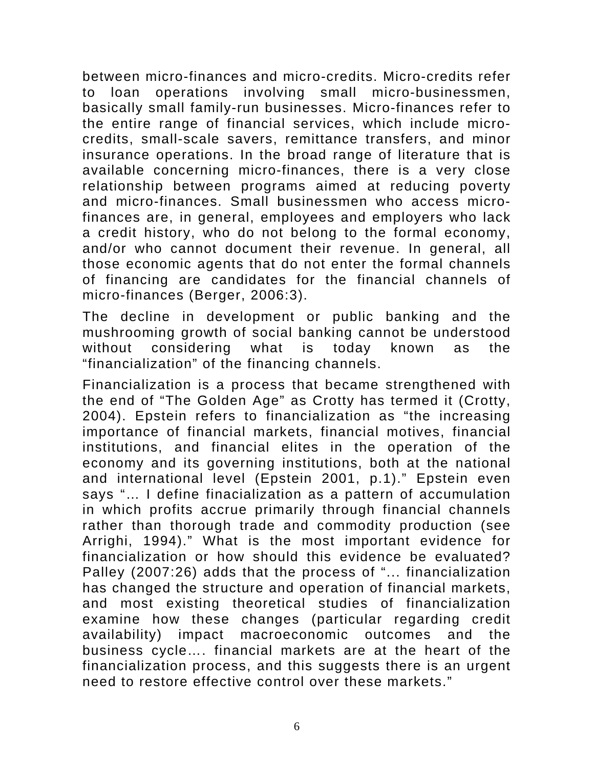between micro-finances and micro-credits. Micro-credits refer to loan operations involving small micro-businessmen, basically small family-run businesses. Micro-finances refer to the entire range of financial services, which include microcredits, small-scale savers, remittance transfers, and minor insurance operations. In the broad range of literature that is available concerning micro-finances, there is a very close relationship between programs aimed at reducing poverty and micro-finances. Small businessmen who access microfinances are, in general, employees and employers who lack a credit history, who do not belong to the formal economy, and/or who cannot document their revenue. In general, all those economic agents that do not enter the formal channels of financing are candidates for the financial channels of micro-finances (Berger, 2006:3).

The decline in development or public banking and the mushrooming growth of social banking cannot be understood without considering what is today known as the "financialization" of the financing channels.

Financialization is a process that became strengthened with the end of "The Golden Age" as Crotty has termed it (Crotty, 2004). Epstein refers to financialization as "the increasing importance of financial markets, financial motives, financial institutions, and financial elites in the operation of the economy and its governing institutions, both at the national and international level (Epstein 2001, p.1)." Epstein even says "... I define finacialization as a pattern of accumulation in which profits accrue primarily through financial channels rather than thorough trade and commodity production (see Arrighi, 1994)." What is the most important evidence for financialization or how should this evidence be evaluated? Palley (2007:26) adds that the process of "... financialization has changed the structure and operation of financial markets, and most existing theoretical studies of financialization examine how these changes (particular regarding credit availability) impact macroeconomic outcomes and the business cycle…. financial markets are at the heart of the financialization process, and this suggests there is an urgent need to restore effective control over these markets."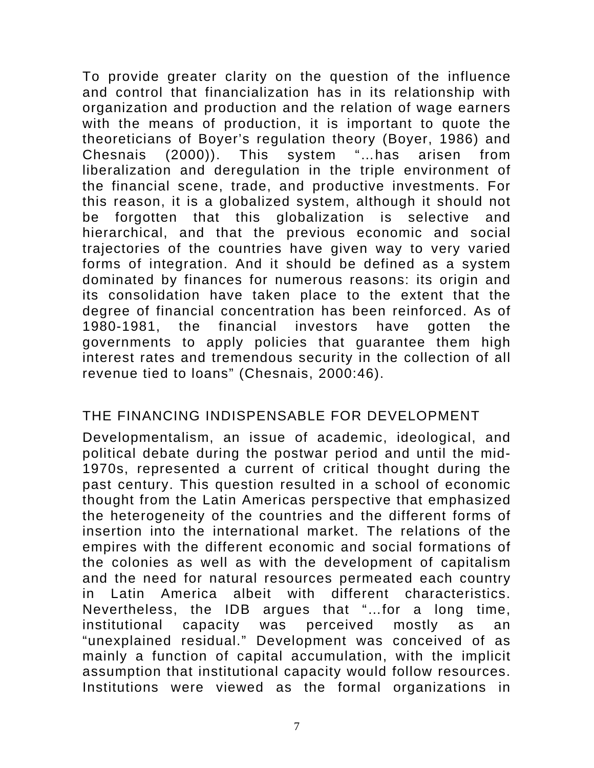To provide greater clarity on the question of the influence and control that financialization has in its relationship with organization and production and the relation of wage earners with the means of production, it is important to quote the theoreticians of Boyer's regulation theory (Boyer, 1986) and Chesnais (2000)). This system "…has arisen from liberalization and deregulation in the triple environment of the financial scene, trade, and productive investments. For this reason, it is a globalized system, although it should not be forgotten that this globalization is selective and hierarchical, and that the previous economic and social trajectories of the countries have given way to very varied forms of integration. And it should be defined as a system dominated by finances for numerous reasons: its origin and its consolidation have taken place to the extent that the degree of financial concentration has been reinforced. As of 1980-1981, the financial investors have gotten the governments to apply policies that guarantee them high interest rates and tremendous security in the collection of all revenue tied to loans" (Chesnais, 2000:46).

#### THE FINANCING INDISPENSABLE FOR DEVELOPMENT

Developmentalism, an issue of academic, ideological, and political debate during the postwar period and until the mid-1970s, represented a current of critical thought during the past century. This question resulted in a school of economic thought from the Latin Americas perspective that emphasized the heterogeneity of the countries and the different forms of insertion into the international market. The relations of the empires with the different economic and social formations of the colonies as well as with the development of capitalism and the need for natural resources permeated each country in Latin America albeit with different characteristics. Nevertheless, the IDB argues that "…for a long time, institutional capacity was perceived mostly as an "unexplained residual." Development was conceived of as mainly a function of capital accumulation, with the implicit assumption that institutional capacity would follow resources. Institutions were viewed as the formal organizations in

7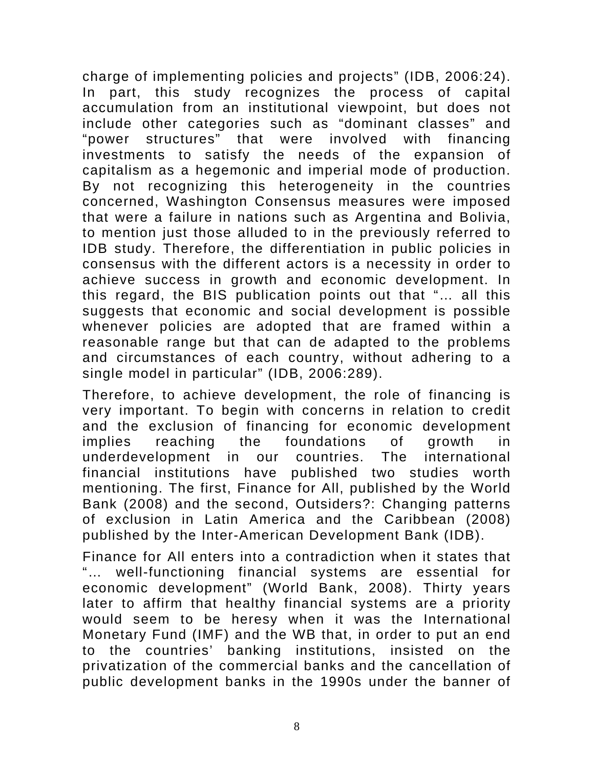charge of implementing policies and projects" (IDB, 2006:24). In part, this study recognizes the process of capital accumulation from an institutional viewpoint, but does not include other categories such as "dominant classes" and "power structures" that were involved with financing investments to satisfy the needs of the expansion of capitalism as a hegemonic and imperial mode of production. By not recognizing this heterogeneity in the countries concerned, Washington Consensus measures were imposed that were a failure in nations such as Argentina and Bolivia, to mention just those alluded to in the previously referred to IDB study. Therefore, the differentiation in public policies in consensus with the different actors is a necessity in order to achieve success in growth and economic development. In this regard, the BIS publication points out that "… all this suggests that economic and social development is possible whenever policies are adopted that are framed within a reasonable range but that can de adapted to the problems and circumstances of each country, without adhering to a single model in particular" (IDB, 2006:289).

Therefore, to achieve development, the role of financing is very important. To begin with concerns in relation to credit and the exclusion of financing for economic development implies reaching the foundations of growth in underdevelopment in our countries. The international financial institutions have published two studies worth mentioning. The first, Finance for All, published by the World Bank (2008) and the second, Outsiders?: Changing patterns of exclusion in Latin America and the Caribbean (2008) published by the Inter-American Development Bank (IDB).

Finance for All enters into a contradiction when it states that "… well-functioning financial systems are essential for economic development" (World Bank, 2008). Thirty years later to affirm that healthy financial systems are a priority would seem to be heresy when it was the International Monetary Fund (IMF) and the WB that, in order to put an end to the countries' banking institutions, insisted on the privatization of the commercial banks and the cancellation of public development banks in the 1990s under the banner of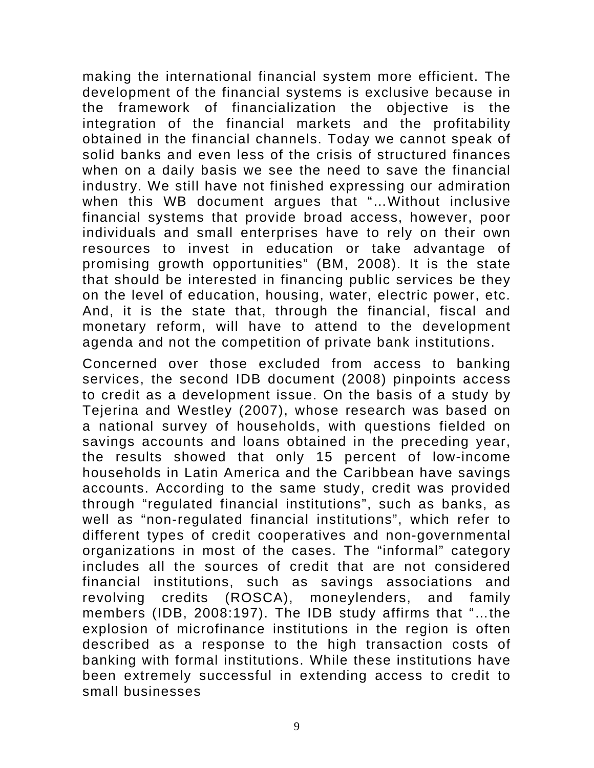making the international financial system more efficient. The development of the financial systems is exclusive because in the framework of financialization the objective is the integration of the financial markets and the profitability obtained in the financial channels. Today we cannot speak of solid banks and even less of the crisis of structured finances when on a daily basis we see the need to save the financial industry. We still have not finished expressing our admiration when this WB document argues that "…Without inclusive financial systems that provide broad access, however, poor individuals and small enterprises have to rely on their own resources to invest in education or take advantage of promising growth opportunities" (BM, 2008). It is the state that should be interested in financing public services be they on the level of education, housing, water, electric power, etc. And, it is the state that, through the financial, fiscal and monetary reform, will have to attend to the development agenda and not the competition of private bank institutions.

Concerned over those excluded from access to banking services, the second IDB document (2008) pinpoints access to credit as a development issue. On the basis of a study by Tejerina and Westley (2007), whose research was based on a national survey of households, with questions fielded on savings accounts and loans obtained in the preceding year, the results showed that only 15 percent of low-income households in Latin America and the Caribbean have savings accounts. According to the same study, credit was provided through "regulated financial institutions", such as banks, as well as "non-regulated financial institutions", which refer to different types of credit cooperatives and non-governmental organizations in most of the cases. The "informal" category includes all the sources of credit that are not considered financial institutions, such as savings associations and revolving credits (ROSCA), moneylenders, and family members (IDB, 2008:197). The IDB study affirms that "…the explosion of microfinance institutions in the region is often described as a response to the high transaction costs of banking with formal institutions. While these institutions have been extremely successful in extending access to credit to small businesses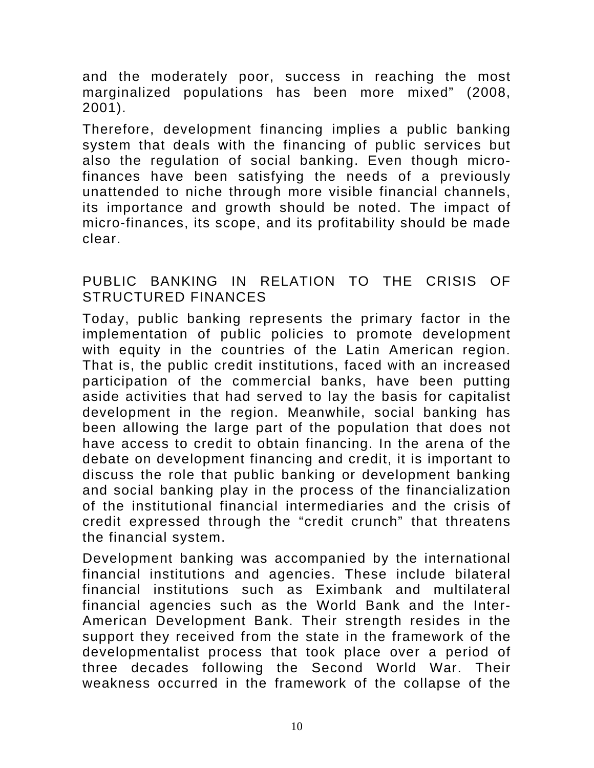and the moderately poor, success in reaching the most marginalized populations has been more mixed" (2008, 2001).

Therefore, development financing implies a public banking system that deals with the financing of public services but also the regulation of social banking. Even though microfinances have been satisfying the needs of a previously unattended to niche through more visible financial channels, its importance and growth should be noted. The impact of micro-finances, its scope, and its profitability should be made clear.

#### PUBLIC BANKING IN RELATION TO THE CRISIS OF STRUCTURED FINANCES

Today, public banking represents the primary factor in the implementation of public policies to promote development with equity in the countries of the Latin American region. That is, the public credit institutions, faced with an increased participation of the commercial banks, have been putting aside activities that had served to lay the basis for capitalist development in the region. Meanwhile, social banking has been allowing the large part of the population that does not have access to credit to obtain financing. In the arena of the debate on development financing and credit, it is important to discuss the role that public banking or development banking and social banking play in the process of the financialization of the institutional financial intermediaries and the crisis of credit expressed through the "credit crunch" that threatens the financial system.

Development banking was accompanied by the international financial institutions and agencies. These include bilateral financial institutions such as Eximbank and multilateral financial agencies such as the World Bank and the Inter-American Development Bank. Their strength resides in the support they received from the state in the framework of the developmentalist process that took place over a period of three decades following the Second World War. Their weakness occurred in the framework of the collapse of the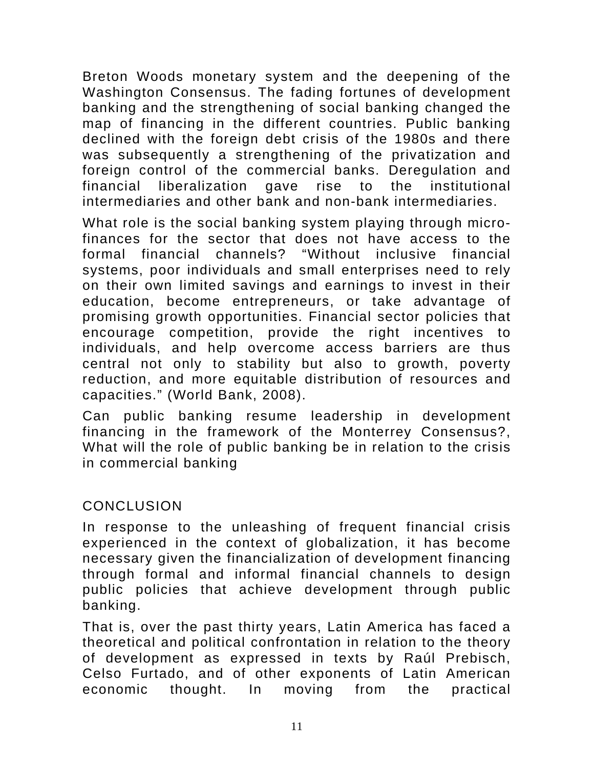Breton Woods monetary system and the deepening of the Washington Consensus. The fading fortunes of development banking and the strengthening of social banking changed the map of financing in the different countries. Public banking declined with the foreign debt crisis of the 1980s and there was subsequently a strengthening of the privatization and foreign control of the commercial banks. Deregulation and financial liberalization gave rise to the institutional intermediaries and other bank and non-bank intermediaries.

What role is the social banking system playing through microfinances for the sector that does not have access to the formal financial channels? "Without inclusive financial systems, poor individuals and small enterprises need to rely on their own limited savings and earnings to invest in their education, become entrepreneurs, or take advantage of promising growth opportunities. Financial sector policies that encourage competition, provide the right incentives to individuals, and help overcome access barriers are thus central not only to stability but also to growth, poverty reduction, and more equitable distribution of resources and capacities." (World Bank, 2008).

Can public banking resume leadership in development financing in the framework of the Monterrey Consensus?, What will the role of public banking be in relation to the crisis in commercial banking

## **CONCLUSION**

In response to the unleashing of frequent financial crisis experienced in the context of globalization, it has become necessary given the financialization of development financing through formal and informal financial channels to design public policies that achieve development through public banking.

That is, over the past thirty years, Latin America has faced a theoretical and political confrontation in relation to the theory of development as expressed in texts by Raúl Prebisch, Celso Furtado, and of other exponents of Latin American economic thought. In moving from the practical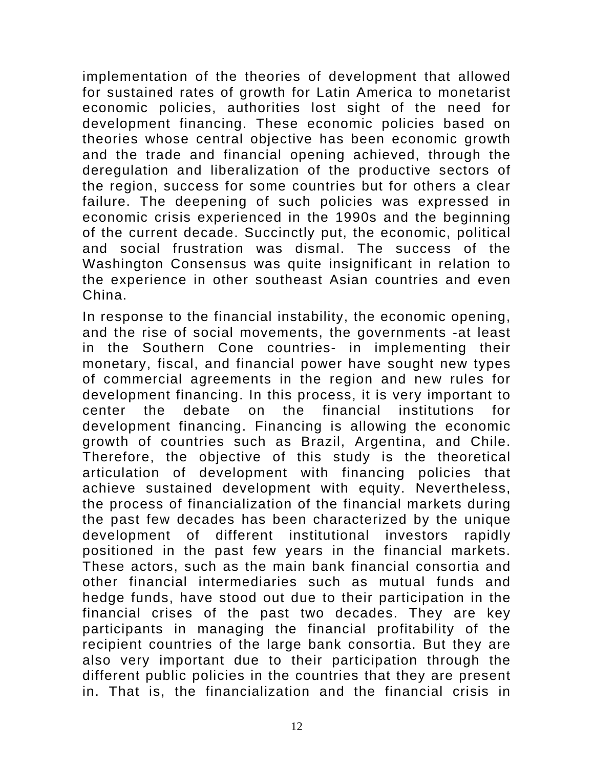implementation of the theories of development that allowed for sustained rates of growth for Latin America to monetarist economic policies, authorities lost sight of the need for development financing. These economic policies based on theories whose central objective has been economic growth and the trade and financial opening achieved, through the deregulation and liberalization of the productive sectors of the region, success for some countries but for others a clear failure. The deepening of such policies was expressed in economic crisis experienced in the 1990s and the beginning of the current decade. Succinctly put, the economic, political and social frustration was dismal. The success of the Washington Consensus was quite insignificant in relation to the experience in other southeast Asian countries and even China.

In response to the financial instability, the economic opening, and the rise of social movements, the governments -at least in the Southern Cone countries- in implementing their monetary, fiscal, and financial power have sought new types of commercial agreements in the region and new rules for development financing. In this process, it is very important to center the debate on the financial institutions for development financing. Financing is allowing the economic growth of countries such as Brazil, Argentina, and Chile. Therefore, the objective of this study is the theoretical articulation of development with financing policies that achieve sustained development with equity. Nevertheless, the process of financialization of the financial markets during the past few decades has been characterized by the unique development of different institutional investors rapidly positioned in the past few years in the financial markets. These actors, such as the main bank financial consortia and other financial intermediaries such as mutual funds and hedge funds, have stood out due to their participation in the financial crises of the past two decades. They are key participants in managing the financial profitability of the recipient countries of the large bank consortia. But they are also very important due to their participation through the different public policies in the countries that they are present in. That is, the financialization and the financial crisis in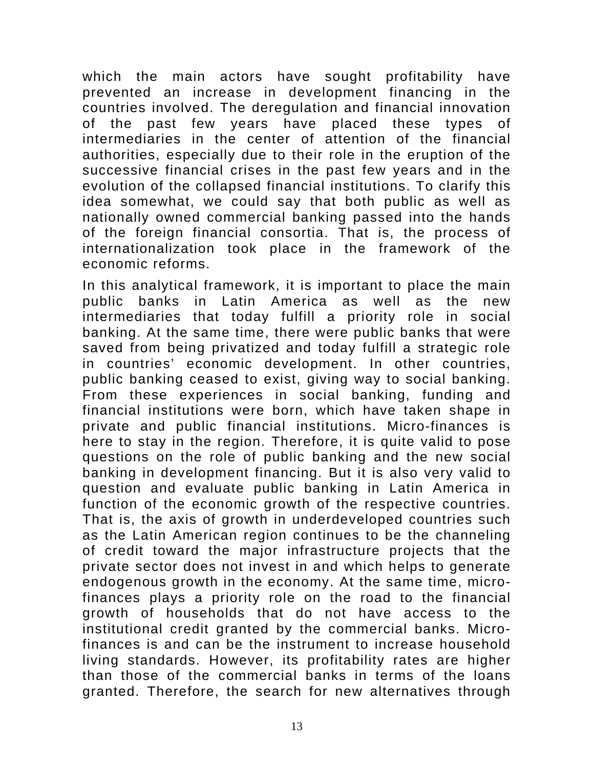which the main actors have sought profitability have prevented an increase in development financing in the countries involved. The deregulation and financial innovation of the past few years have placed these types of intermediaries in the center of attention of the financial authorities, especially due to their role in the eruption of the successive financial crises in the past few years and in the evolution of the collapsed financial institutions. To clarify this idea somewhat, we could say that both public as well as nationally owned commercial banking passed into the hands of the foreign financial consortia. That is, the process of internationalization took place in the framework of the economic reforms.

In this analytical framework, it is important to place the main public banks in Latin America as well as the new intermediaries that today fulfill a priority role in social banking. At the same time, there were public banks that were saved from being privatized and today fulfill a strategic role in countries' economic development. In other countries, public banking ceased to exist, giving way to social banking. From these experiences in social banking, funding and financial institutions were born, which have taken shape in private and public financial institutions. Micro-finances is here to stay in the region. Therefore, it is quite valid to pose questions on the role of public banking and the new social banking in development financing. But it is also very valid to question and evaluate public banking in Latin America in function of the economic growth of the respective countries. That is, the axis of growth in underdeveloped countries such as the Latin American region continues to be the channeling of credit toward the major infrastructure projects that the private sector does not invest in and which helps to generate endogenous growth in the economy. At the same time, microfinances plays a priority role on the road to the financial growth of households that do not have access to the institutional credit granted by the commercial banks. Microfinances is and can be the instrument to increase household living standards. However, its profitability rates are higher than those of the commercial banks in terms of the loans granted. Therefore, the search for new alternatives through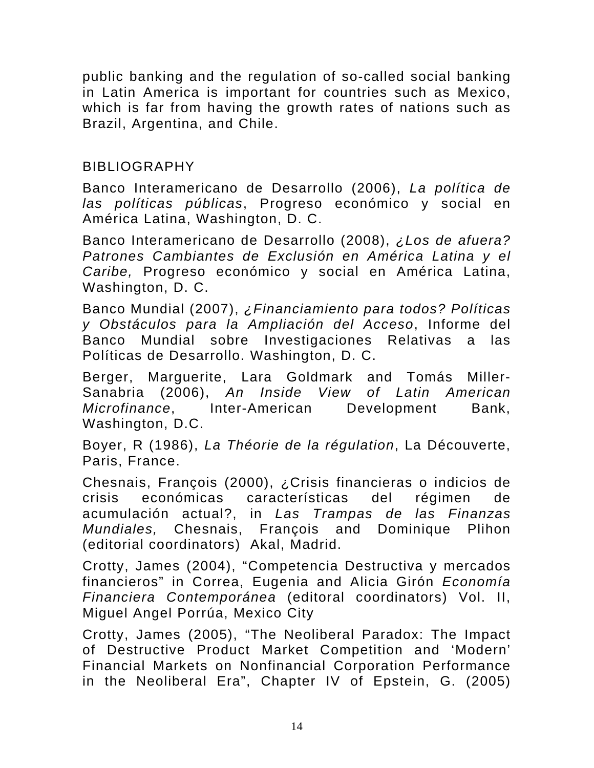public banking and the regulation of so-called social banking in Latin America is important for countries such as Mexico, which is far from having the growth rates of nations such as Brazil, Argentina, and Chile.

## BIBLIOGRAPHY

Banco Interamericano de Desarrollo (2006), *La política de las políticas públicas*, Progreso económico y social en América Latina, Washington, D. C.

Banco Interamericano de Desarrollo (2008), *¿Los de afuera? Patrones Cambiantes de Exclusión en América Latina y el Caribe,* Progreso económico y social en América Latina, Washington, D. C.

Banco Mundial (2007), *¿Financiamiento para todos? Políticas y Obstáculos para la Ampliación del Acceso*, Informe del Banco Mundial sobre Investigaciones Relativas a las Políticas de Desarrollo. Washington, D. C.

Berger, Marguerite, Lara Goldmark and Tomás Miller-Sanabria (2006), *An Inside View of Latin American Microfinance*, Inter-American Development Bank, Washington, D.C.

Boyer, R (1986), *La Théorie de la régulation*, La Découverte, Paris, France.

Chesnais, François (2000), ¿Crisis financieras o indicios de crisis económicas características del régimen de acumulación actual?, in *Las Trampas de las Finanzas Mundiales,* Chesnais, François and Dominique Plihon (editorial coordinators) Akal, Madrid.

Crotty, James (2004), "Competencia Destructiva y mercados financieros" in Correa, Eugenia and Alicia Girón *Economía Financiera Contemporánea* (editoral coordinators) Vol. II, Miguel Angel Porrúa, Mexico City

Crotty, James (2005), "The Neoliberal Paradox: The Impact of Destructive Product Market Competition and 'Modern' Financial Markets on Nonfinancial Corporation Performance in the Neoliberal Era", Chapter IV of Epstein, G. (2005)